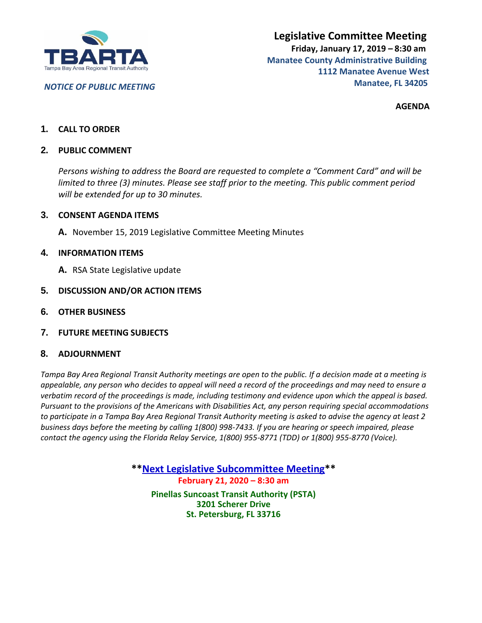

*NOTICE OF PUBLIC MEETING*

**AGENDA**

# **1. CALL TO ORDER**

# **2. PUBLIC COMMENT**

*Persons wishing to address the Board are requested to complete a "Comment Card" and will be limited to three (3) minutes. Please see staff prior to the meeting. This public comment period will be extended for up to 30 minutes.*

#### **3. CONSENT AGENDA ITEMS**

**A.** November 15, 2019 Legislative Committee Meeting Minutes

#### **4. INFORMATION ITEMS**

- **A.** RSA State Legislative update
- **5. DISCUSSION AND/OR ACTION ITEMS**
- **6. OTHER BUSINESS**
- **7. FUTURE MEETING SUBJECTS**

#### **8. ADJOURNMENT**

*Tampa Bay Area Regional Transit Authority meetings are open to the public. If a decision made at a meeting is appealable, any person who decides to appeal will need a record of the proceedings and may need to ensure a verbatim record of the proceedings is made, including testimony and evidence upon which the appeal is based. Pursuant to the provisions of the Americans with Disabilities Act, any person requiring special accommodations to participate in a Tampa Bay Area Regional Transit Authority meeting is asked to advise the agency at least 2 business days before the meeting by calling 1(800) 998-7433. If you are hearing or speech impaired, please contact the agency using the Florida Relay Service, 1(800) 955-8771 (TDD) or 1(800) 955-8770 (Voice).*

> **\*\*Next Legislative Subcommittee Meeting\*\* February 21, 2020 – 8:30 am Pinellas Suncoast Transit Authority (PSTA) 3201 Scherer Drive St. Petersburg, FL 33716**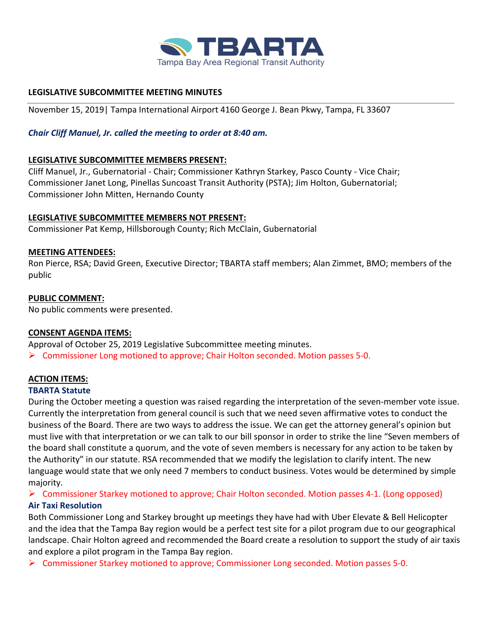

# **LEGISLATIVE SUBCOMMITTEE MEETING MINUTES**

November 15, 2019| Tampa International Airport 4160 George J. Bean Pkwy, Tampa, FL 33607

# *Chair Cliff Manuel, Jr. called the meeting to order at 8:40 am.*

# **LEGISLATIVE SUBCOMMITTEE MEMBERS PRESENT:**

Cliff Manuel, Jr., Gubernatorial - Chair; Commissioner Kathryn Starkey, Pasco County - Vice Chair; Commissioner Janet Long, Pinellas Suncoast Transit Authority (PSTA); Jim Holton, Gubernatorial; Commissioner John Mitten, Hernando County

# **LEGISLATIVE SUBCOMMITTEE MEMBERS NOT PRESENT:**

Commissioner Pat Kemp, Hillsborough County; Rich McClain, Gubernatorial

# **MEETING ATTENDEES:**

Ron Pierce, RSA; David Green, Executive Director; TBARTA staff members; Alan Zimmet, BMO; members of the public

# **PUBLIC COMMENT:**

No public comments were presented.

# **CONSENT AGENDA ITEMS:**

Approval of October 25, 2019 Legislative Subcommittee meeting minutes.  $\triangleright$  Commissioner Long motioned to approve; Chair Holton seconded. Motion passes 5-0.

# **ACTION ITEMS:**

# **TBARTA Statute**

During the October meeting a question was raised regarding the interpretation of the seven-member vote issue. Currently the interpretation from general council is such that we need seven affirmative votes to conduct the business of the Board. There are two ways to address the issue. We can get the attorney general's opinion but must live with that interpretation or we can talk to our bill sponsor in order to strike the line "Seven members of the board shall constitute a quorum, and the vote of seven members is necessary for any action to be taken by the Authority" in our statute. RSA recommended that we modify the legislation to clarify intent. The new language would state that we only need 7 members to conduct business. Votes would be determined by simple majority.

# ➢ Commissioner Starkey motioned to approve; Chair Holton seconded. Motion passes 4-1. (Long opposed) **Air Taxi Resolution**

Both Commissioner Long and Starkey brought up meetings they have had with Uber Elevate & Bell Helicopter and the idea that the Tampa Bay region would be a perfect test site for a pilot program due to our geographical landscape. Chair Holton agreed and recommended the Board create a resolution to support the study of air taxis and explore a pilot program in the Tampa Bay region.

➢ Commissioner Starkey motioned to approve; Commissioner Long seconded. Motion passes 5-0.